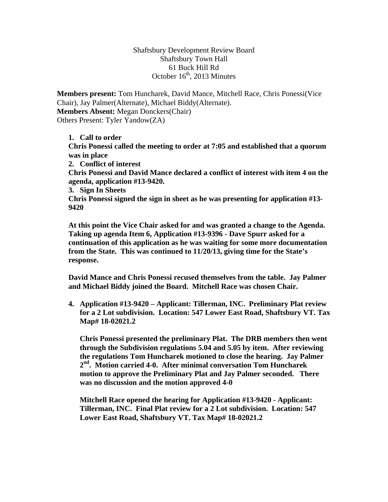Shaftsbury Development Review Board Shaftsbury Town Hall 61 Buck Hill Rd October  $16<sup>th</sup>$ , 2013 Minutes

**Members present:** Tom Huncharek, David Mance, Mitchell Race, Chris Ponessi(Vice Chair), Jay Palmer(Alternate), Michael Biddy(Alternate). **Members Absent:** Megan Donckers(Chair) Others Present: Tyler Yandow(ZA)

**1. Call to order Chris Ponessi called the meeting to order at 7:05 and established that a quorum was in place 2. Conflict of interest Chris Ponessi and David Mance declared a conflict of interest with item 4 on the agenda, application #13-9420. 3. Sign In Sheets Chris Ponessi signed the sign in sheet as he was presenting for application #13- 9420** 

**At this point the Vice Chair asked for and was granted a change to the Agenda. Taking up agenda Item 6, Application #13-9396 - Dave Spurr asked for a continuation of this application as he was waiting for some more documentation from the State. This was continued to 11/20/13, giving time for the State's response.** 

**David Mance and Chris Ponessi recused themselves from the table. Jay Palmer and Michael Biddy joined the Board. Mitchell Race was chosen Chair.** 

**4. Application #13-9420 – Applicant: Tillerman, INC. Preliminary Plat review for a 2 Lot subdivision. Location: 547 Lower East Road, Shaftsbury VT. Tax Map# 18-02021.2** 

**Chris Ponessi presented the preliminary Plat. The DRB members then went through the Subdivision regulations 5.04 and 5.05 by item. After reviewing the regulations Tom Huncharek motioned to close the hearing. Jay Palmer 2nd. Motion carried 4-0. After minimal conversation Tom Huncharek motion to approve the Preliminary Plat and Jay Palmer seconded. There was no discussion and the motion approved 4-0** 

**Mitchell Race opened the hearing for Application #13-9420 - Applicant: Tillerman, INC. Final Plat review for a 2 Lot subdivision. Location: 547 Lower East Road, Shaftsbury VT. Tax Map# 18-02021.2**